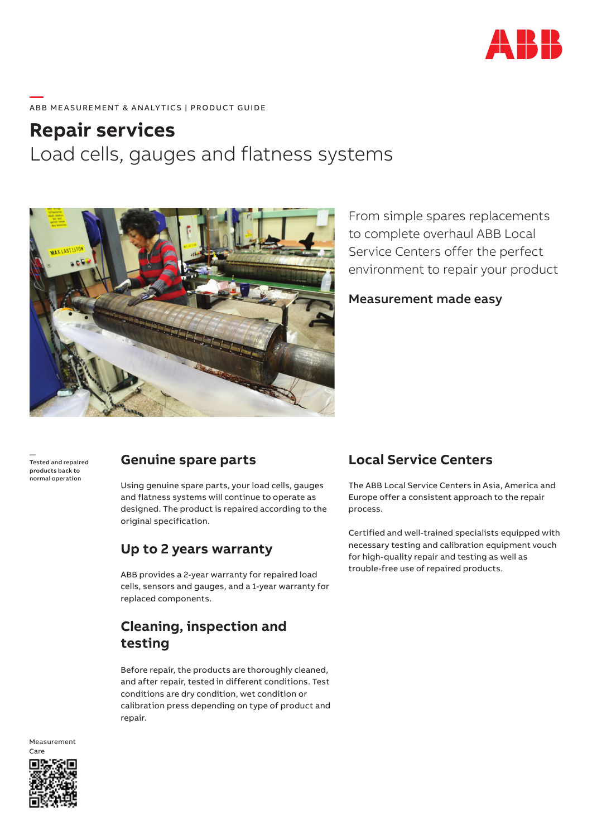

#### **—**  ABB MEASUREMENT & ANALYTICS | PRODUCT GUIDE

# **Repair services** Load cells, gauges and flatness systems



From simple spares replacements to complete overhaul ABB Local Service Centers offer the perfect environment to repair your product

Measurement made easy

— Tested and repaired products back to normal operation

#### **Genuine spare parts**

Using genuine spare parts, your load cells, gauges and flatness systems will continue to operate as designed. The product is repaired according to the original specification.

#### **Up to 2 years warranty**

ABB provides a 2-year warranty for repaired load cells, sensors and gauges, and a 1-year warranty for replaced components.

# **Cleaning, inspection and testing**

Before repair, the products are thoroughly cleaned, and after repair, tested in different conditions. Test conditions are dry condition, wet condition or calibration press depending on type of product and repair.

### **Local Service Centers**

The ABB Local Service Centers in Asia, America and Europe offer a consistent approach to the repair process.

Certified and well-trained specialists equipped with necessary testing and calibration equipment vouch for high-quality repair and testing as well as trouble-free use of repaired products.



Measurement